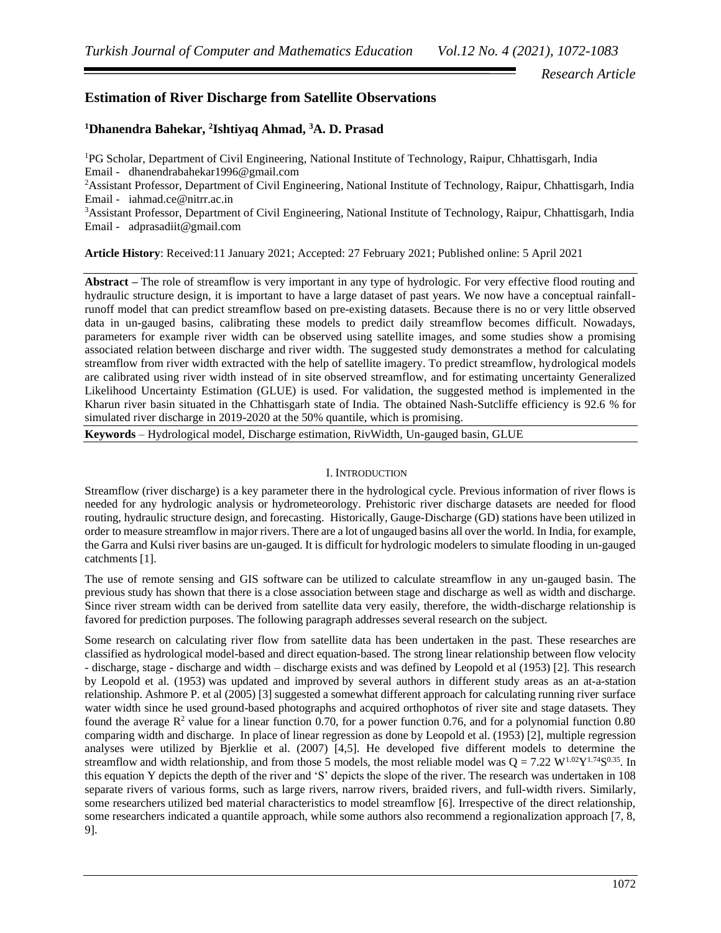*Research Article*

## **Estimation of River Discharge from Satellite Observations**

## **<sup>1</sup>Dhanendra Bahekar, 2 Ishtiyaq Ahmad, <sup>3</sup>A. D. Prasad**

<sup>1</sup>PG Scholar, Department of Civil Engineering, National Institute of Technology, Raipur, Chhattisgarh, India Email - dhanendrabahekar1996@gmail.com

<sup>2</sup>Assistant Professor, Department of Civil Engineering, National Institute of Technology, Raipur, Chhattisgarh, India Email - iahmad.ce@nitrr.ac.in

<sup>3</sup>Assistant Professor, Department of Civil Engineering, National Institute of Technology, Raipur, Chhattisgarh, India Email - adprasadiit@gmail.com

**Article History**: Received:11 January 2021; Accepted: 27 February 2021; Published online: 5 April 2021

**Abstract –** The role of streamflow is very important in any type of hydrologic. For very effective flood routing and hydraulic structure design, it is important to have a large dataset of past years. We now have a conceptual rainfallrunoff model that can predict streamflow based on pre-existing datasets. Because there is no or very little observed data in un-gauged basins, calibrating these models to predict daily streamflow becomes difficult. Nowadays, parameters for example river width can be observed using satellite images, and some studies show a promising associated relation between discharge and river width. The suggested study demonstrates a method for calculating streamflow from river width extracted with the help of satellite imagery. To predict streamflow, hydrological models are calibrated using river width instead of in site observed streamflow, and for estimating uncertainty Generalized Likelihood Uncertainty Estimation (GLUE) is used. For validation, the suggested method is implemented in the Kharun river basin situated in the Chhattisgarh state of India. The obtained Nash-Sutcliffe efficiency is 92.6 % for simulated river discharge in 2019-2020 at the 50% quantile, which is promising.

**Keywords** – Hydrological model, Discharge estimation, RivWidth, Un-gauged basin, GLUE

## I. INTRODUCTION

Streamflow (river discharge) is a key parameter there in the hydrological cycle. Previous information of river flows is needed for any hydrologic analysis or hydrometeorology. Prehistoric river discharge datasets are needed for flood routing, hydraulic structure design, and forecasting. Historically, Gauge-Discharge (GD) stations have been utilized in order to measure streamflow in major rivers. There are a lot of ungauged basins all over the world. In India, for example, the Garra and Kulsi river basins are un-gauged. It is difficult for hydrologic modelers to simulate flooding in un-gauged catchments [1].

The use of remote sensing and GIS software can be utilized to calculate streamflow in any un-gauged basin. The previous study has shown that there is a close association between stage and discharge as well as width and discharge. Since river stream width can be derived from satellite data very easily, therefore, the width-discharge relationship is favored for prediction purposes. The following paragraph addresses several research on the subject.

Some research on calculating river flow from satellite data has been undertaken in the past. These researches are classified as hydrological model-based and direct equation-based. The strong linear relationship between flow velocity - discharge, stage - discharge and width – discharge exists and was defined by Leopold et al (1953) [2]. This research by Leopold et al. (1953) was updated and improved by several authors in different study areas as an at-a-station relationship. Ashmore P. et al (2005) [3] suggested a somewhat different approach for calculating running river surface water width since he used ground-based photographs and acquired orthophotos of river site and stage datasets. They found the average  $\mathbb{R}^2$  value for a linear function 0.70, for a power function 0.76, and for a polynomial function 0.80 comparing width and discharge. In place of linear regression as done by Leopold et al. (1953) [2], multiple regression analyses were utilized by Bjerklie et al. (2007) [4,5]. He developed five different models to determine the streamflow and width relationship, and from those 5 models, the most reliable model was  $Q = 7.22 \text{ W}^{1.02} \text{Y}^{1.74} \text{S}^{0.35}$ . In this equation Y depicts the depth of the river and 'S' depicts the slope of the river. The research was undertaken in 108 separate rivers of various forms, such as large rivers, narrow rivers, braided rivers, and full-width rivers. Similarly, some researchers utilized bed material characteristics to model streamflow [6]. Irrespective of the direct relationship, some researchers indicated a quantile approach, while some authors also recommend a regionalization approach [7, 8, 9].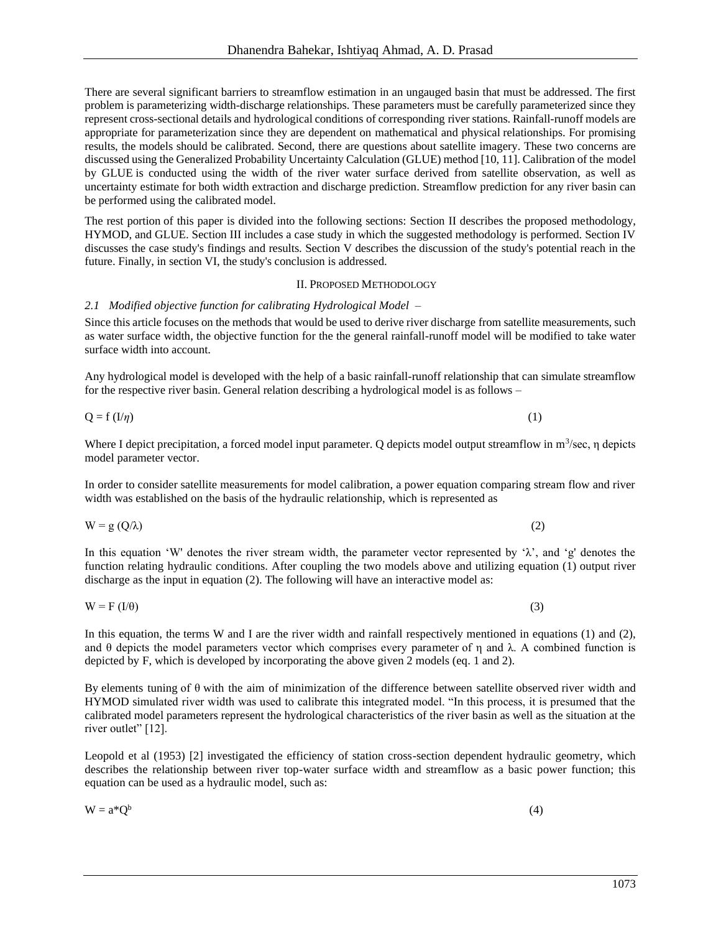There are several significant barriers to streamflow estimation in an ungauged basin that must be addressed. The first problem is parameterizing width-discharge relationships. These parameters must be carefully parameterized since they represent cross-sectional details and hydrological conditions of corresponding river stations. Rainfall-runoff models are appropriate for parameterization since they are dependent on mathematical and physical relationships. For promising results, the models should be calibrated. Second, there are questions about satellite imagery. These two concerns are discussed using the Generalized Probability Uncertainty Calculation (GLUE) method [10, 11]. Calibration of the model by GLUE is conducted using the width of the river water surface derived from satellite observation, as well as uncertainty estimate for both width extraction and discharge prediction. Streamflow prediction for any river basin can be performed using the calibrated model.

The rest portion of this paper is divided into the following sections: Section II describes the proposed methodology, HYMOD, and GLUE. Section III includes a case study in which the suggested methodology is performed. Section IV discusses the case study's findings and results. Section V describes the discussion of the study's potential reach in the future. Finally, in section VI, the study's conclusion is addressed.

## II. PROPOSED METHODOLOGY

# *2.1 Modified objective function for calibrating Hydrological Model –*

Since this article focuses on the methods that would be used to derive river discharge from satellite measurements, such as water surface width, the objective function for the the general rainfall-runoff model will be modified to take water surface width into account.

Any hydrological model is developed with the help of a basic rainfall-runoff relationship that can simulate streamflow for the respective river basin. General relation describing a hydrological model is as follows –

Where I depict precipitation, a forced model input parameter. Q depicts model output streamflow in  $m^3$ /sec,  $\eta$  depicts model parameter vector.

In order to consider satellite measurements for model calibration, a power equation comparing stream flow and river width was established on the basis of the hydraulic relationship, which is represented as

In this equation 'W' denotes the river stream width, the parameter vector represented by ' $\lambda$ ', and 'g' denotes the function relating hydraulic conditions. After coupling the two models above and utilizing equation (1) output river discharge as the input in equation (2). The following will have an interactive model as:

In this equation, the terms W and I are the river width and rainfall respectively mentioned in equations (1) and (2), and  $\theta$  depicts the model parameters vector which comprises every parameter of  $\eta$  and  $\lambda$ . A combined function is depicted by F, which is developed by incorporating the above given 2 models (eq. 1 and 2).

By elements tuning of  $\theta$  with the aim of minimization of the difference between satellite observed river width and HYMOD simulated river width was used to calibrate this integrated model. "In this process, it is presumed that the calibrated model parameters represent the hydrological characteristics of the river basin as well as the situation at the river outlet" [12].

Leopold et al (1953) [2] investigated the efficiency of station cross-section dependent hydraulic geometry, which describes the relationship between river top-water surface width and streamflow as a basic power function; this equation can be used as a hydraulic model, such as:

 $W = a^*O^b$ (4)

 $W = F (I/\theta)$  (3)

 $W = g(Q/\lambda)$  (2)

 $Q = f (I/\eta)$  (1)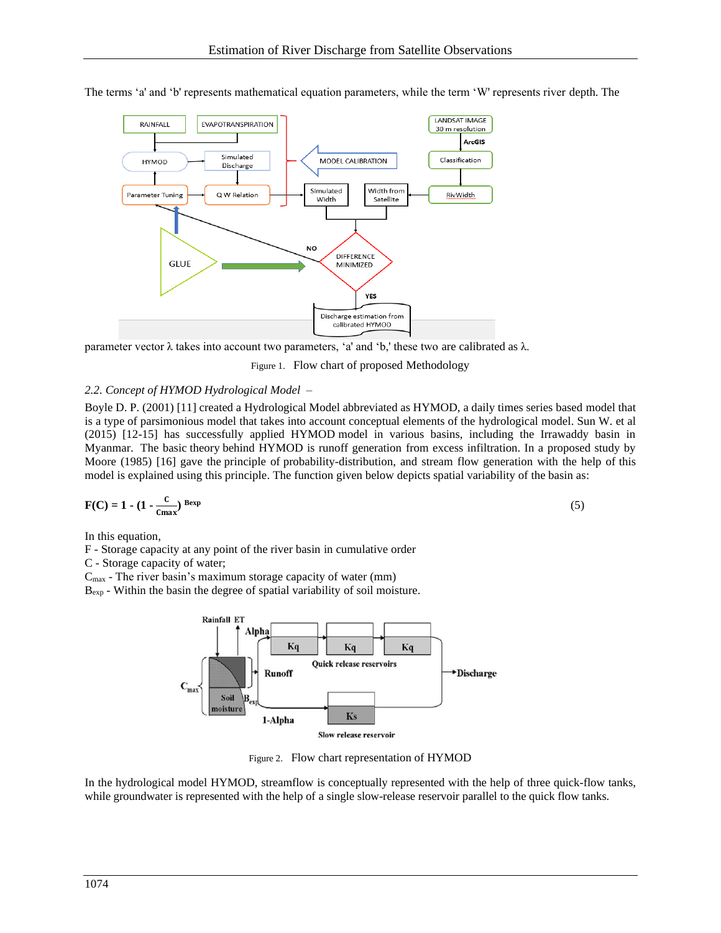

The terms 'a' and 'b' represents mathematical equation parameters, while the term 'W' represents river depth. The

parameter vector λ takes into account two parameters, 'a' and 'b,' these two are calibrated as λ.

Figure 1. Flow chart of proposed Methodology

## *2.2. Concept of HYMOD Hydrological Model –*

Boyle D. P. (2001) [11] created a Hydrological Model abbreviated as HYMOD, a daily times series based model that is a type of parsimonious model that takes into account conceptual elements of the hydrological model. Sun W. et al (2015) [12-15] has successfully applied HYMOD model in various basins, including the Irrawaddy basin in Myanmar. The basic theory behind HYMOD is runoff generation from excess infiltration. In a proposed study by Moore (1985) [16] gave the principle of probability-distribution, and stream flow generation with the help of this model is explained using this principle. The function given below depicts spatial variability of the basin as:

$$
F(C) = 1 - (1 - \frac{c}{c_{\text{max}}})^{\text{Bexp}}
$$
 (5)

In this equation,

F - Storage capacity at any point of the river basin in cumulative order

C - Storage capacity of water;

 $C_{\text{max}}$  - The river basin's maximum storage capacity of water (mm)

Bexp - Within the basin the degree of spatial variability of soil moisture.



Figure 2. Flow chart representation of HYMOD

In the hydrological model HYMOD, streamflow is conceptually represented with the help of three quick-flow tanks, while groundwater is represented with the help of a single slow-release reservoir parallel to the quick flow tanks.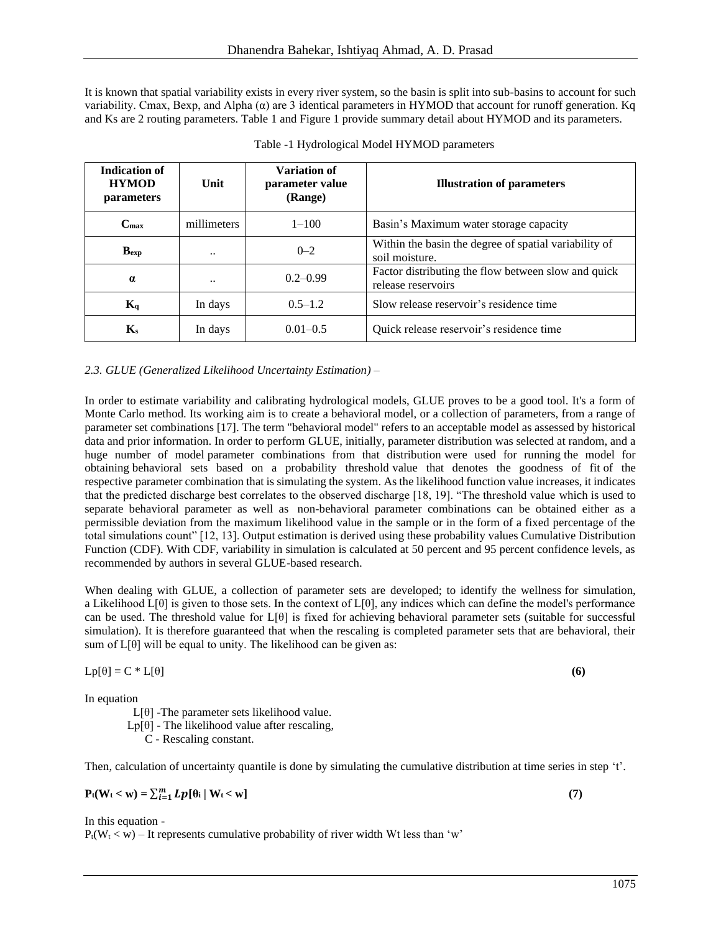It is known that spatial variability exists in every river system, so the basin is split into sub-basins to account for such variability. Cmax, Bexp, and Alpha ( $\alpha$ ) are 3 identical parameters in HYMOD that account for runoff generation. Kq and Ks are 2 routing parameters. Table 1 and Figure 1 provide summary detail about HYMOD and its parameters.

| <b>Indication of</b><br><b>HYMOD</b><br>parameters | Unit        | Variation of<br>parameter value<br>(Range) | <b>Illustration of parameters</b>                                         |
|----------------------------------------------------|-------------|--------------------------------------------|---------------------------------------------------------------------------|
| $\bf C$ max                                        | millimeters | $1 - 100$                                  | Basin's Maximum water storage capacity                                    |
| $B_{exp}$                                          |             | $0 - 2$                                    | Within the basin the degree of spatial variability of<br>soil moisture.   |
| $\alpha$                                           |             | $0.2 - 0.99$                               | Factor distributing the flow between slow and quick<br>release reservoirs |
| $K_q$                                              | In days     | $0.5 - 1.2$                                | Slow release reservoir's residence time                                   |
| $\mathbf{K}_s$                                     | In days     | $0.01 - 0.5$                               | Quick release reservoir's residence time                                  |

#### *2.3. GLUE (Generalized Likelihood Uncertainty Estimation) –*

In order to estimate variability and calibrating hydrological models, GLUE proves to be a good tool. It's a form of Monte Carlo method. Its working aim is to create a behavioral model, or a collection of parameters, from a range of parameter set combinations [17]. The term "behavioral model" refers to an acceptable model as assessed by historical data and prior information. In order to perform GLUE, initially, parameter distribution was selected at random, and a huge number of model parameter combinations from that distribution were used for running the model for obtaining behavioral sets based on a probability threshold value that denotes the goodness of fit of the respective parameter combination that is simulating the system. As the likelihood function value increases, it indicates that the predicted discharge best correlates to the observed discharge [18, 19]. "The threshold value which is used to separate behavioral parameter as well as non-behavioral parameter combinations can be obtained either as a permissible deviation from the maximum likelihood value in the sample or in the form of a fixed percentage of the total simulations count" [12, 13]. Output estimation is derived using these probability values Cumulative Distribution Function (CDF). With CDF, variability in simulation is calculated at 50 percent and 95 percent confidence levels, as recommended by authors in several GLUE-based research.

When dealing with GLUE, a collection of parameter sets are developed; to identify the wellness for simulation, a Likelihood  $L[\theta]$  is given to those sets. In the context of  $L[\theta]$ , any indices which can define the model's performance can be used. The threshold value for L[θ] is fixed for achieving behavioral parameter sets (suitable for successful simulation). It is therefore guaranteed that when the rescaling is completed parameter sets that are behavioral, their sum of  $L[\theta]$  will be equal to unity. The likelihood can be given as:

$$
Lp[\theta] = C * L[\theta]
$$
 (6)

In equation

- $L[\theta]$  -The parameter sets likelihood value.
- $Lp[θ]$  The likelihood value after rescaling,

C - Rescaling constant.

Then, calculation of uncertainty quantile is done by simulating the cumulative distribution at time series in step 't'.

$$
P_t(W_t < w) = \sum_{i=1}^m Lp[\theta_i \mid W_t < w]
$$
\n(7)

In this equation -  $P_t(W_t < w)$  – It represents cumulative probability of river width Wt less than 'w'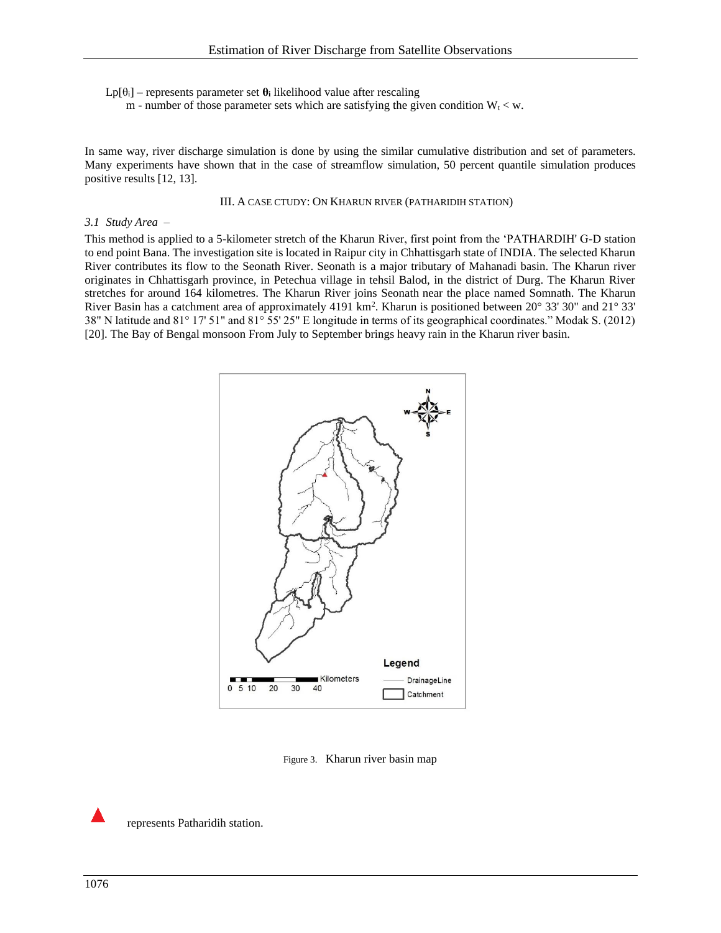Lp[θi] **–** represents parameter set **θ<sup>i</sup>** likelihood value after rescaling

m - number of those parameter sets which are satisfying the given condition  $W_t < w$ .

In same way, river discharge simulation is done by using the similar cumulative distribution and set of parameters. Many experiments have shown that in the case of streamflow simulation, 50 percent quantile simulation produces positive results [12, 13].

#### III. A CASE CTUDY: ON KHARUN RIVER (PATHARIDIH STATION)

#### *3.1 Study Area –*

This method is applied to a 5-kilometer stretch of the Kharun River, first point from the 'PATHARDIH' G-D station to end point Bana. The investigation site is located in Raipur city in Chhattisgarh state of INDIA. The selected Kharun River contributes its flow to the Seonath River. Seonath is a major tributary of Mahanadi basin. The Kharun river originates in Chhattisgarh province, in Petechua village in tehsil Balod, in the district of Durg. The Kharun River stretches for around 164 kilometres. The Kharun River joins Seonath near the place named Somnath. The Kharun River Basin has a catchment area of approximately 4191 km<sup>2</sup>. Kharun is positioned between 20° 33' 30" and 21° 33' 38" N latitude and 81° 17' 51" and 81° 55' 25" E longitude in terms of its geographical coordinates." Modak S. (2012) [20]. The Bay of Bengal monsoon From July to September brings heavy rain in the Kharun river basin.



Figure 3. Kharun river basin map

represents Patharidih station.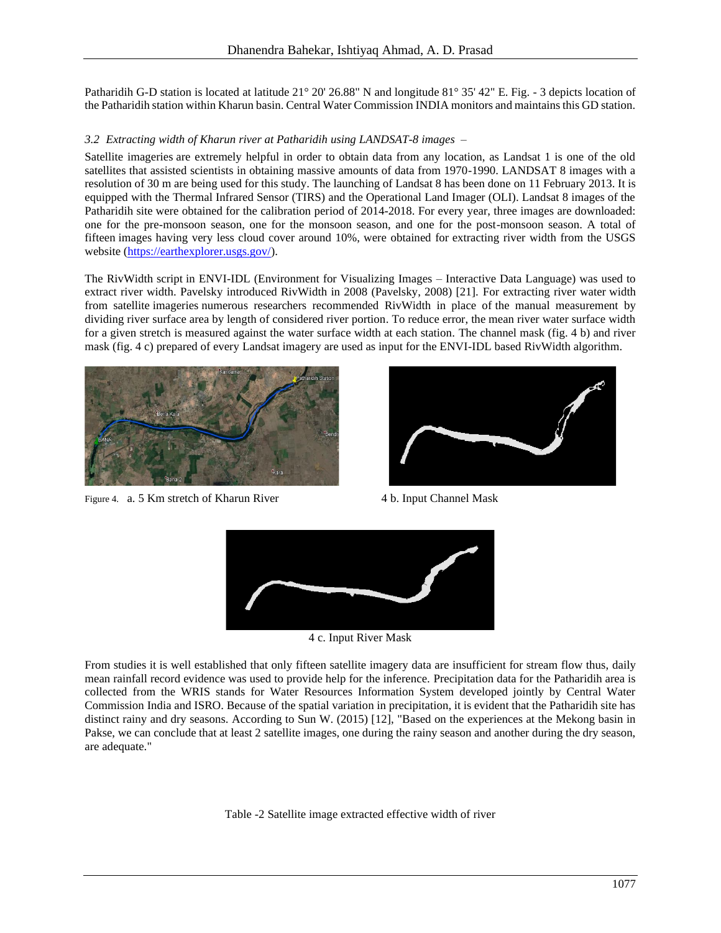Patharidih G-D station is located at latitude 21° 20' 26.88" N and longitude 81° 35' 42" E. Fig. - 3 depicts location of the Patharidih station within Kharun basin. Central Water Commission INDIA monitors and maintains this GD station.

## *3.2 Extracting width of Kharun river at Patharidih using LANDSAT-8 images –*

Satellite imageries are extremely helpful in order to obtain data from any location, as Landsat 1 is one of the old satellites that assisted scientists in obtaining massive amounts of data from 1970-1990. LANDSAT 8 images with a resolution of 30 m are being used for this study. The launching of Landsat 8 has been done on 11 February 2013. It is equipped with the Thermal Infrared Sensor (TIRS) and the Operational Land Imager (OLI). Landsat 8 images of the Patharidih site were obtained for the calibration period of 2014-2018. For every year, three images are downloaded: one for the pre-monsoon season, one for the monsoon season, and one for the post-monsoon season. A total of fifteen images having very less cloud cover around 10%, were obtained for extracting river width from the USGS website [\(https://earthexplorer.usgs.gov/\)](https://earthexplorer.usgs.gov/).

The RivWidth script in ENVI-IDL (Environment for Visualizing Images – Interactive Data Language) was used to extract river width. Pavelsky introduced RivWidth in 2008 (Pavelsky, 2008) [21]. For extracting river water width from satellite imageries numerous researchers recommended RivWidth in place of the manual measurement by dividing river surface area by length of considered river portion. To reduce error, the mean river water surface width for a given stretch is measured against the water surface width at each station. The channel mask (fig. 4 b) and river mask (fig. 4 c) prepared of every Landsat imagery are used as input for the ENVI-IDL based RivWidth algorithm.



Figure 4. a. 5 Km stretch of Kharun River 4 b. Input Channel Mask





4 c. Input River Mask

From studies it is well established that only fifteen satellite imagery data are insufficient for stream flow thus, daily mean rainfall record evidence was used to provide help for the inference. Precipitation data for the Patharidih area is collected from the WRIS stands for Water Resources Information System developed jointly by Central Water Commission India and ISRO. Because of the spatial variation in precipitation, it is evident that the Patharidih site has distinct rainy and dry seasons. According to Sun W. (2015) [12], "Based on the experiences at the Mekong basin in Pakse, we can conclude that at least 2 satellite images, one during the rainy season and another during the dry season, are adequate."

Table -2 Satellite image extracted effective width of river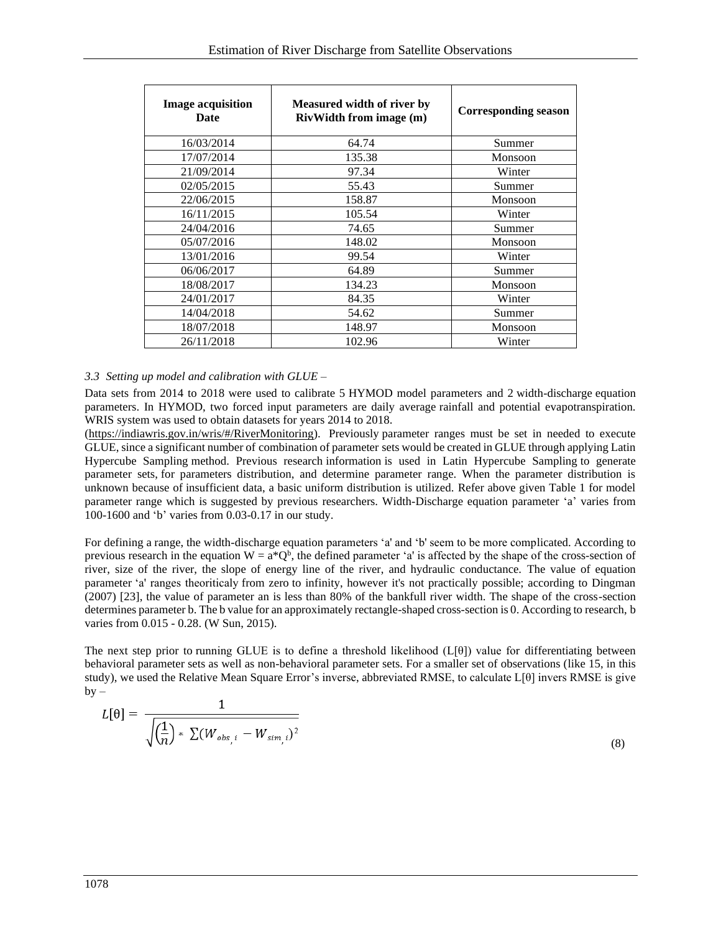| <b>Image acquisition</b><br>Date | Measured width of river by<br><b>RivWidth from image (m)</b> | <b>Corresponding season</b> |
|----------------------------------|--------------------------------------------------------------|-----------------------------|
| 16/03/2014                       | 64.74                                                        | Summer                      |
| 17/07/2014                       | 135.38                                                       | Monsoon                     |
| 21/09/2014                       | 97.34                                                        | Winter                      |
| 02/05/2015                       | 55.43                                                        | Summer                      |
| 22/06/2015                       | 158.87                                                       | Monsoon                     |
| 16/11/2015                       | 105.54                                                       | Winter                      |
| 24/04/2016                       | 74.65                                                        | Summer                      |
| 05/07/2016                       | 148.02                                                       | Monsoon                     |
| 13/01/2016                       | 99.54                                                        | Winter                      |
| 06/06/2017                       | 64.89                                                        | Summer                      |
| 18/08/2017                       | 134.23                                                       | Monsoon                     |
| 24/01/2017                       | 84.35                                                        | Winter                      |
| 14/04/2018                       | 54.62                                                        | Summer                      |
| 18/07/2018                       | 148.97                                                       | Monsoon                     |
| 26/11/2018                       | 102.96                                                       | Winter                      |

### *3.3 Setting up model and calibration with GLUE –*

Data sets from 2014 to 2018 were used to calibrate 5 HYMOD model parameters and 2 width-discharge equation parameters. In HYMOD, two forced input parameters are daily average rainfall and potential evapotranspiration. WRIS system was used to obtain datasets for years 2014 to 2018.

[\(https://indiawris.gov.in/wris/#/RiverMonitoring\)](https://indiawris.gov.in/wris/#/RiverMonitoring). Previously parameter ranges must be set in needed to execute GLUE, since a significant number of combination of parameter sets would be created in GLUE through applying Latin Hypercube Sampling method. Previous research information is used in Latin Hypercube Sampling to generate parameter sets, for parameters distribution, and determine parameter range. When the parameter distribution is unknown because of insufficient data, a basic uniform distribution is utilized. Refer above given Table 1 for model parameter range which is suggested by previous researchers. Width-Discharge equation parameter 'a' varies from 100-1600 and 'b' varies from 0.03-0.17 in our study.

For defining a range, the width-discharge equation parameters 'a' and 'b' seem to be more complicated. According to previous research in the equation  $W = a^*Q^b$ , the defined parameter 'a' is affected by the shape of the cross-section of river, size of the river, the slope of energy line of the river, and hydraulic conductance. The value of equation parameter 'a' ranges theoriticaly from zero to infinity, however it's not practically possible; according to Dingman (2007) [23], the value of parameter an is less than 80% of the bankfull river width. The shape of the cross-section determines parameter b. The b value for an approximately rectangle-shaped cross-section is 0. According to research, b varies from 0.015 - 0.28. (W Sun, 2015).

The next step prior to running GLUE is to define a threshold likelihood  $(L[\theta])$  value for differentiating between behavioral parameter sets as well as non-behavioral parameter sets. For a smaller set of observations (like 15, in this study), we used the Relative Mean Square Error's inverse, abbreviated RMSE, to calculate L[θ] invers RMSE is give  $by -$ 

$$
L[\theta] = \frac{1}{\sqrt{\left(\frac{1}{n}\right) * \sum (W_{obs,i} - W_{sim,i})^2}}
$$
\n(8)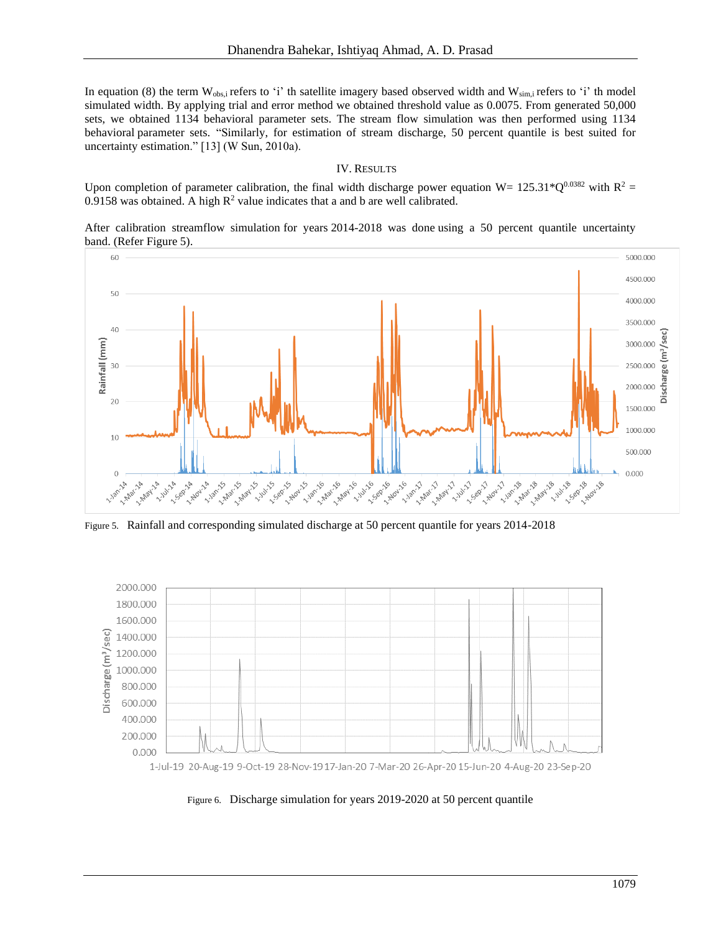In equation (8) the term  $W_{obs,i}$  refers to 'i' th satellite imagery based observed width and  $W_{sim,i}$  refers to 'i' th model simulated width. By applying trial and error method we obtained threshold value as 0.0075. From generated 50,000 sets, we obtained 1134 behavioral parameter sets. The stream flow simulation was then performed using 1134 behavioral parameter sets. "Similarly, for estimation of stream discharge, 50 percent quantile is best suited for uncertainty estimation." [13] (W Sun, 2010a).

### IV. RESULTS

Upon completion of parameter calibration, the final width discharge power equation W=  $125.31*Q^{0.0382}$  with R<sup>2</sup> = 0.9158 was obtained. A high  $R^2$  value indicates that a and b are well calibrated.

After calibration streamflow simulation for years 2014-2018 was done using a 50 percent quantile uncertainty band. (Refer Figure 5).



Figure 5. Rainfall and corresponding simulated discharge at 50 percent quantile for years 2014-2018



1-Jul-19 20-Aug-19 9-Oct-19 28-Nov-19 17-Jan-20 7-Mar-20 26-Apr-20 15-Jun-20 4-Aug-20 23-Sep-20

Figure 6. Discharge simulation for years 2019-2020 at 50 percent quantile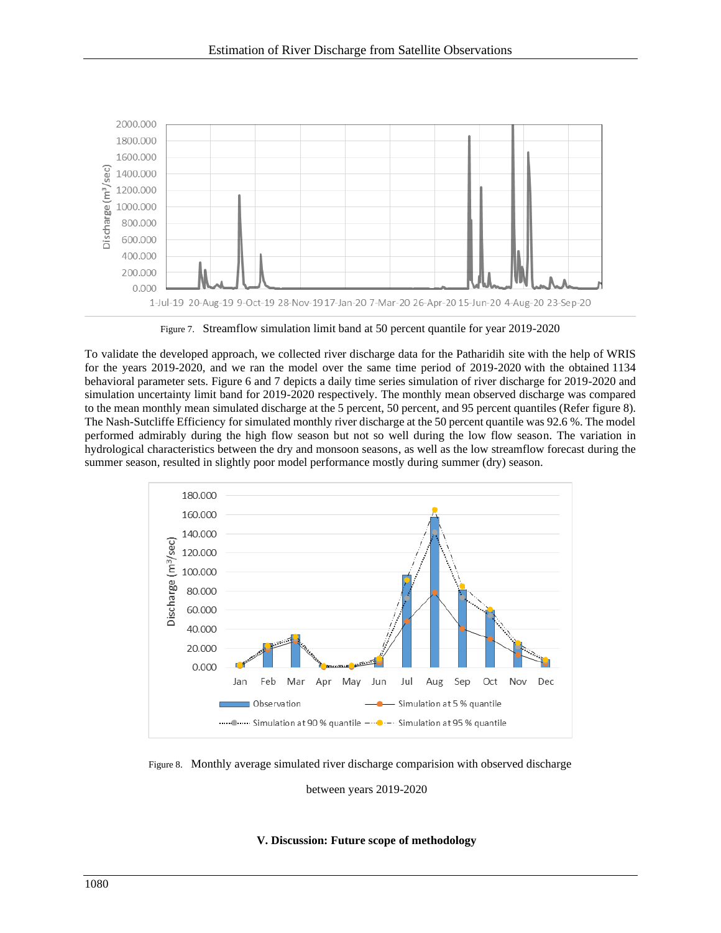

Figure 7. Streamflow simulation limit band at 50 percent quantile for year 2019-2020

To validate the developed approach, we collected river discharge data for the Patharidih site with the help of WRIS for the years 2019-2020, and we ran the model over the same time period of 2019-2020 with the obtained 1134 behavioral parameter sets. Figure 6 and 7 depicts a daily time series simulation of river discharge for 2019-2020 and simulation uncertainty limit band for 2019-2020 respectively. The monthly mean observed discharge was compared to the mean monthly mean simulated discharge at the 5 percent, 50 percent, and 95 percent quantiles (Refer figure 8). The Nash-Sutcliffe Efficiency for simulated monthly river discharge at the 50 percent quantile was 92.6 %. The model performed admirably during the high flow season but not so well during the low flow season. The variation in hydrological characteristics between the dry and monsoon seasons, as well as the low streamflow forecast during the summer season, resulted in slightly poor model performance mostly during summer (dry) season.



Figure 8. Monthly average simulated river discharge comparision with observed discharge

between years 2019-2020

## **V. Discussion: Future scope of methodology**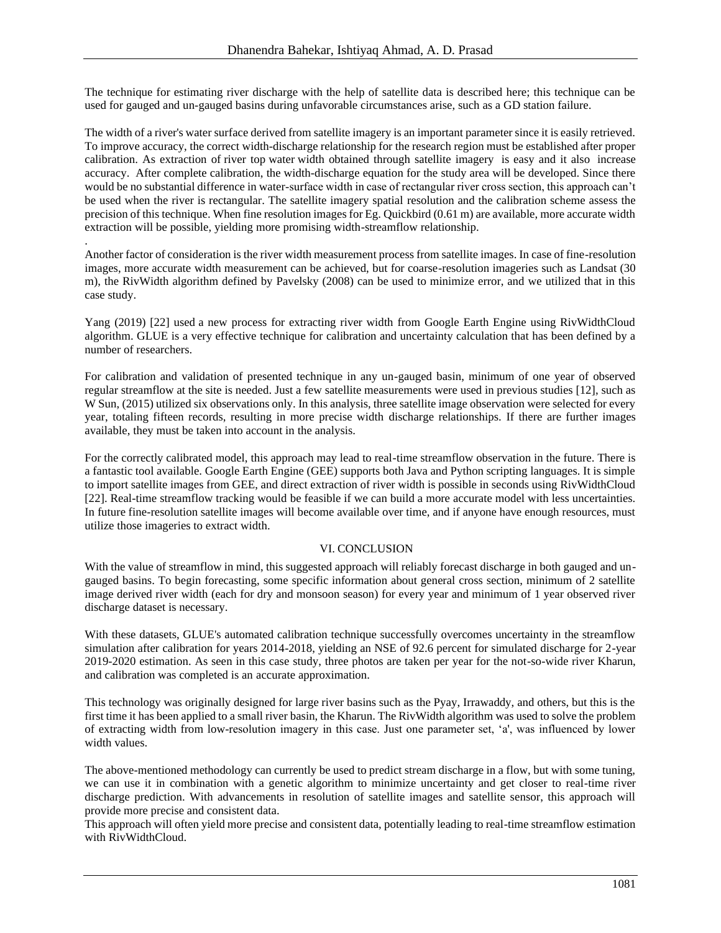The technique for estimating river discharge with the help of satellite data is described here; this technique can be used for gauged and un-gauged basins during unfavorable circumstances arise, such as a GD station failure.

The width of a river's water surface derived from satellite imagery is an important parameter since it is easily retrieved. To improve accuracy, the correct width-discharge relationship for the research region must be established after proper calibration. As extraction of river top water width obtained through satellite imagery is easy and it also increase accuracy. After complete calibration, the width-discharge equation for the study area will be developed. Since there would be no substantial difference in water-surface width in case of rectangular river cross section, this approach can't be used when the river is rectangular. The satellite imagery spatial resolution and the calibration scheme assess the precision of this technique. When fine resolution images for Eg. Quickbird (0.61 m) are available, more accurate width extraction will be possible, yielding more promising width-streamflow relationship.

Another factor of consideration is the river width measurement process from satellite images. In case of fine-resolution images, more accurate width measurement can be achieved, but for coarse-resolution imageries such as Landsat (30 m), the RivWidth algorithm defined by Pavelsky (2008) can be used to minimize error, and we utilized that in this case study.

.

Yang (2019) [22] used a new process for extracting river width from Google Earth Engine using RivWidthCloud algorithm. GLUE is a very effective technique for calibration and uncertainty calculation that has been defined by a number of researchers.

For calibration and validation of presented technique in any un-gauged basin, minimum of one year of observed regular streamflow at the site is needed. Just a few satellite measurements were used in previous studies [12], such as W Sun, (2015) utilized six observations only. In this analysis, three satellite image observation were selected for every year, totaling fifteen records, resulting in more precise width discharge relationships. If there are further images available, they must be taken into account in the analysis.

For the correctly calibrated model, this approach may lead to real-time streamflow observation in the future. There is a fantastic tool available. Google Earth Engine (GEE) supports both Java and Python scripting languages. It is simple to import satellite images from GEE, and direct extraction of river width is possible in seconds using RivWidthCloud [22]. Real-time streamflow tracking would be feasible if we can build a more accurate model with less uncertainties. In future fine-resolution satellite images will become available over time, and if anyone have enough resources, must utilize those imageries to extract width.

## VI. CONCLUSION

With the value of streamflow in mind, this suggested approach will reliably forecast discharge in both gauged and ungauged basins. To begin forecasting, some specific information about general cross section, minimum of 2 satellite image derived river width (each for dry and monsoon season) for every year and minimum of 1 year observed river discharge dataset is necessary.

With these datasets, GLUE's automated calibration technique successfully overcomes uncertainty in the streamflow simulation after calibration for years 2014-2018, yielding an NSE of 92.6 percent for simulated discharge for 2-year 2019-2020 estimation. As seen in this case study, three photos are taken per year for the not-so-wide river Kharun, and calibration was completed is an accurate approximation.

This technology was originally designed for large river basins such as the Pyay, Irrawaddy, and others, but this is the first time it has been applied to a small river basin, the Kharun. The RivWidth algorithm was used to solve the problem of extracting width from low-resolution imagery in this case. Just one parameter set, 'a', was influenced by lower width values.

The above-mentioned methodology can currently be used to predict stream discharge in a flow, but with some tuning, we can use it in combination with a genetic algorithm to minimize uncertainty and get closer to real-time river discharge prediction. With advancements in resolution of satellite images and satellite sensor, this approach will provide more precise and consistent data.

This approach will often yield more precise and consistent data, potentially leading to real-time streamflow estimation with RivWidthCloud.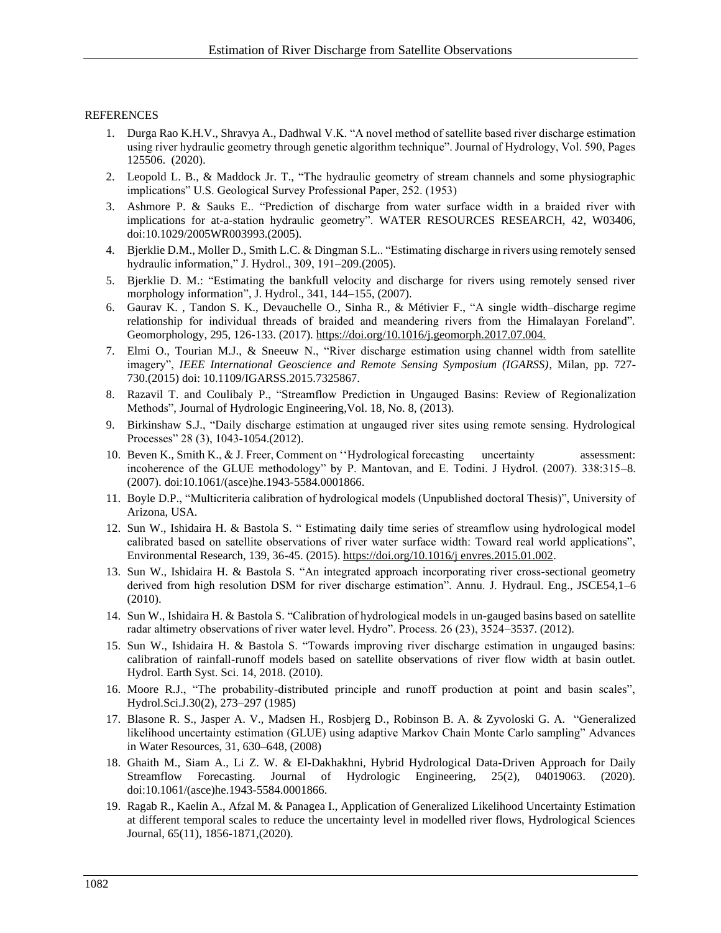## REFERENCES

- 1. Durga Rao K.H.V., Shravya A., Dadhwal V.K. "A novel method of satellite based river discharge estimation using river hydraulic geometry through genetic algorithm technique". Journal of Hydrology, Vol. 590, Pages 125506. (2020).
- 2. Leopold L. B., & Maddock Jr. T., "The hydraulic geometry of stream channels and some physiographic implications" U.S. Geological Survey Professional Paper, 252. (1953)
- 3. Ashmore P. & Sauks E.. "Prediction of discharge from water surface width in a braided river with implications for at-a-station hydraulic geometry". WATER RESOURCES RESEARCH, 42, W03406, doi:10.1029/2005WR003993.(2005).
- 4. Bjerklie D.M., Moller D., Smith L.C. & Dingman S.L.. "Estimating discharge in rivers using remotely sensed hydraulic information," J. Hydrol., 309, 191–209.(2005).
- 5. Bjerklie D. M.: "Estimating the bankfull velocity and discharge for rivers using remotely sensed river morphology information", J. Hydrol., 341, 144–155, (2007).
- 6. Gaurav K. , Tandon S. K., Devauchelle O., Sinha R., & Métivier F., "A single width–discharge regime relationship for individual threads of braided and meandering rivers from the Himalayan Foreland". Geomorphology, 295, 126-133. (2017). https://doi.org/10.1016/j.geomorph.2017.07.004.
- 7. Elmi O., Tourian M.J., & Sneeuw N., "River discharge estimation using channel width from satellite imagery", *IEEE International Geoscience and Remote Sensing Symposium (IGARSS)*, Milan, pp. 727- 730.(2015) doi: 10.1109/IGARSS.2015.7325867.
- 8. Razavil T. and Coulibaly P., "Streamflow Prediction in Ungauged Basins: Review of Regionalization Methods", Journal of Hydrologic Engineering,Vol. 18, No. 8, (2013).
- 9. Birkinshaw S.J., "Daily discharge estimation at ungauged river sites using remote sensing. Hydrological Processes" 28 (3), 1043-1054.(2012).
- 10. Beven K., Smith K., & J. Freer, Comment on "Hydrological forecasting uncertainty assessment: incoherence of the GLUE methodology" by P. Mantovan, and E. Todini. J Hydrol. (2007). 338:315–8. (2007). doi:10.1061/(asce)he.1943-5584.0001866.
- 11. Boyle D.P., "Multicriteria calibration of hydrological models (Unpublished doctoral Thesis)", University of Arizona, USA.
- 12. Sun W., Ishidaira H. & Bastola S. " Estimating daily time series of streamflow using hydrological model calibrated based on satellite observations of river water surface width: Toward real world applications", Environmental Research, 139, 36-45. (2015)[. https://doi.org/10.1016/j envres.2015.01.002.](https://doi.org/10.1016/j%20envres.2015.01.002)
- 13. Sun W., Ishidaira H. & Bastola S. "An integrated approach incorporating river cross-sectional geometry derived from high resolution DSM for river discharge estimation". Annu. J. Hydraul. Eng., JSCE54,1-6 (2010).
- 14. Sun W., Ishidaira H. & Bastola S. "Calibration of hydrological models in un-gauged basins based on satellite radar altimetry observations of river water level. Hydro". Process. 26 (23), 3524–3537. (2012).
- 15. Sun W., Ishidaira H. & Bastola S. "Towards improving river discharge estimation in ungauged basins: calibration of rainfall-runoff models based on satellite observations of river flow width at basin outlet. Hydrol. Earth Syst. Sci. 14, 2018. (2010).
- 16. Moore R.J., "The probability-distributed principle and runoff production at point and basin scales", Hydrol.Sci.J.30(2), 273–297 (1985)
- 17. Blasone R. S., Jasper A. V., Madsen H., Rosbjerg D., Robinson B. A. & Zyvoloski G. A. "Generalized likelihood uncertainty estimation (GLUE) using adaptive Markov Chain Monte Carlo sampling" Advances in Water Resources, 31, 630–648, (2008)
- 18. Ghaith M., Siam A., Li Z. W. & El-Dakhakhni, Hybrid Hydrological Data-Driven Approach for Daily Streamflow Forecasting. Journal of Hydrologic Engineering, 25(2), 04019063. (2020). doi:10.1061/(asce)he.1943-5584.0001866.
- 19. Ragab R., Kaelin A., Afzal M. & Panagea I., Application of Generalized Likelihood Uncertainty Estimation at different temporal scales to reduce the uncertainty level in modelled river flows, Hydrological Sciences Journal, 65(11), 1856-1871,(2020).